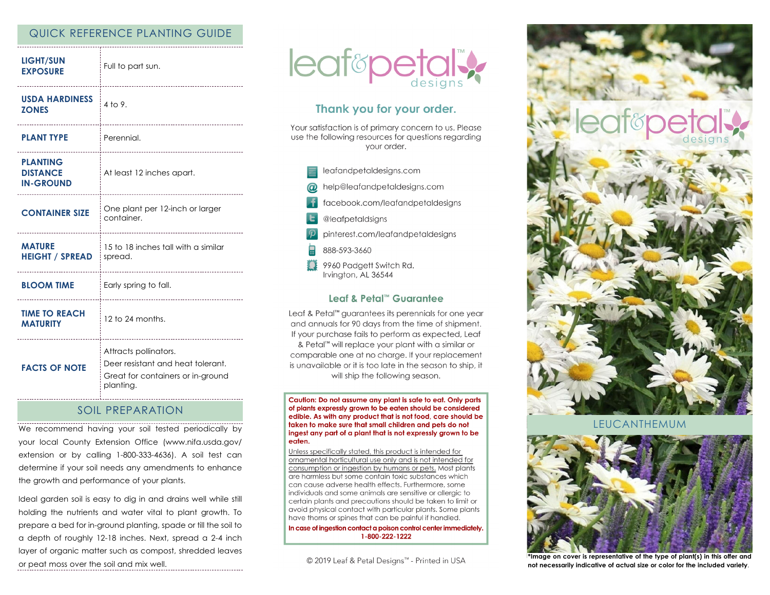# QUICK REFERENCE PLANTING GUIDE

| <b>LIGHT/SUN</b><br><b>EXPOSURE</b>                    | Full to part sun.<br>---------------------                                                                   |
|--------------------------------------------------------|--------------------------------------------------------------------------------------------------------------|
| -------------<br><b>USDA HARDINESS</b><br><b>ZONES</b> | 4 to 9.<br>----------------------------                                                                      |
| <b>PLANT TYPE</b>                                      | Perennial.                                                                                                   |
| <b>PLANTING</b><br><b>DISTANCE</b><br><b>IN-GROUND</b> | At least 12 inches apart.<br>--------------------------------------                                          |
| <b>CONTAINER SIZE</b>                                  | One plant per 12-inch or larger<br>container.                                                                |
| <b>MATURE</b><br><b>HEIGHT / SPREAD</b>                | 15 to 18 inches tall with a similar<br>spread.                                                               |
| <b>BLOOM TIME</b>                                      | Early spring to fall.                                                                                        |
| <b>TIME TO REACH</b><br><b>MATURITY</b>                | 12 to 24 months.                                                                                             |
| <b>FACTS OF NOTE</b>                                   | Attracts pollinators.<br>Deer resistant and heat tolerant.<br>Great for containers or in-ground<br>planting. |

## SOIL PREPARATION

We recommend having your soil tested periodically by your local County Extension Office (www.nifa.usda.gov/ extension or by calling 1-800-333-4636). A soil test can determine if your soil needs any amendments to enhance the growth and performance of your plants.

Ideal garden soil is easy to dig in and drains well while still holding the nutrients and water vital to plant growth. To prepare a bed for in-ground planting, spade or till the soil to a depth of roughly 12-18 inches. Next, spread a 2-4 inch layer of organic matter such as compost, shredded leaves or peat moss over the soil and mix well.



# Thank you for your order.

Your satisfaction is of primary concern to us. Please use the following resources for questions regarding vour order.



#### Leaf & Petal™ Guarantee

Leaf & Petal<sup>™</sup> guarantees its perennials for one year and annuals for 90 days from the time of shipment. If your purchase fails to perform as expected, Leaf & Petal™ will replace your plant with a similar or comparable one at no charge. If your replacement is unavailable or it is too late in the season to ship, it will ship the following season.

Caution: Do not assume any plant is safe to eat. Only parts of plants expressly grown to be eaten should be considered edible. As with any product that is not food, care should be taken to make sure that small children and pets do not ingest any part of a plant that is not expressly grown to be eaten.

Unless specifically stated, this product is intended for ornamental horticultural use only and is not intended for consumption or ingestion by humans or pets. Most plants are harmless but some contain toxic substances which can cause adverse health effects. Furthermore, some individuals and some animals are sensitive or allergic to certain plants and precautions should be taken to limit or avoid physical contact with particular plants. Some plants have thorns or spines that can be painful if handled.

In case of ingestion contact a poison control center immediately. 1-800-222-1222

© 2019 Leaf & Petal Designs™ - Printed in USA



**FUCANTHEMUM** 



**\*Image on cover is representative of the type of plant(s) in this offer and not necessarily indicative of actual size or color for the included variety**.